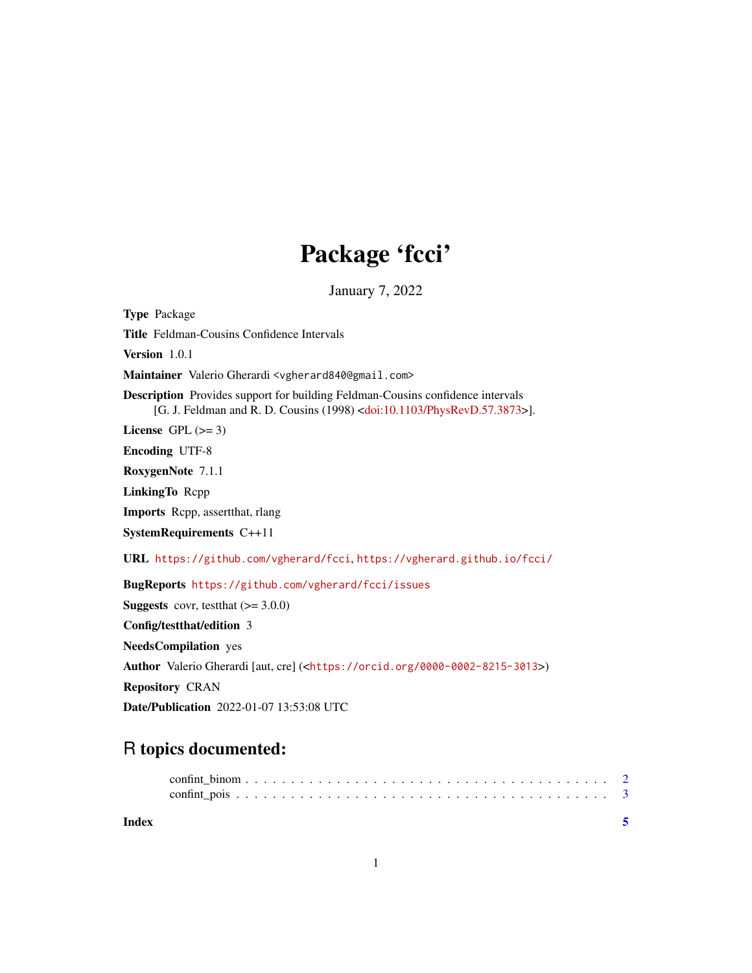# Package 'fcci'

January 7, 2022

Type Package Title Feldman-Cousins Confidence Intervals Version 101 Maintainer Valerio Gherardi <vgherard840@gmail.com> Description Provides support for building Feldman-Cousins confidence intervals [G. J. Feldman and R. D. Cousins (1998) [<doi:10.1103/PhysRevD.57.3873>](https://doi.org/10.1103/PhysRevD.57.3873)]. License GPL  $(>= 3)$ Encoding UTF-8 RoxygenNote 7.1.1 LinkingTo Rcpp Imports Rcpp, assertthat, rlang SystemRequirements C++11 URL <https://github.com/vgherard/fcci>, <https://vgherard.github.io/fcci/> BugReports <https://github.com/vgherard/fcci/issues> **Suggests** covr, test that  $(>= 3.0.0)$ Config/testthat/edition 3 NeedsCompilation yes Author Valerio Gherardi [aut, cre] (<<https://orcid.org/0000-0002-8215-3013>>) Repository CRAN Date/Publication 2022-01-07 13:53:08 UTC

## R topics documented: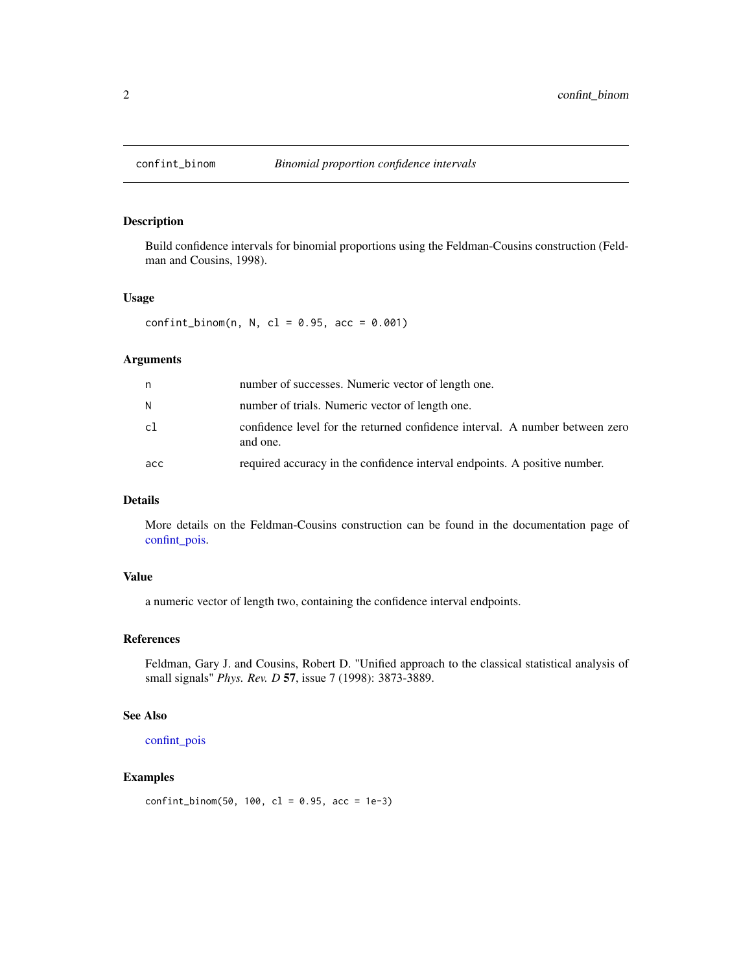<span id="page-1-0"></span>

### Description

Build confidence intervals for binomial proportions using the Feldman-Cousins construction (Feldman and Cousins, 1998).

#### Usage

 $confint\_binom(n, N, c1 = 0.95, acc = 0.001)$ 

#### Arguments

| n   | number of successes. Numeric vector of length one.                                       |
|-----|------------------------------------------------------------------------------------------|
| N   | number of trials. Numeric vector of length one.                                          |
| c1  | confidence level for the returned confidence interval. A number between zero<br>and one. |
| acc | required accuracy in the confidence interval endpoints. A positive number.               |

#### Details

More details on the Feldman-Cousins construction can be found in the documentation page of [confint\\_pois.](#page-2-1)

#### Value

a numeric vector of length two, containing the confidence interval endpoints.

#### References

Feldman, Gary J. and Cousins, Robert D. "Unified approach to the classical statistical analysis of small signals" *Phys. Rev. D* 57, issue 7 (1998): 3873-3889.

#### See Also

```
confint_pois
```
#### Examples

 $confint\_binom(50, 100, c1 = 0.95, acc = 1e-3)$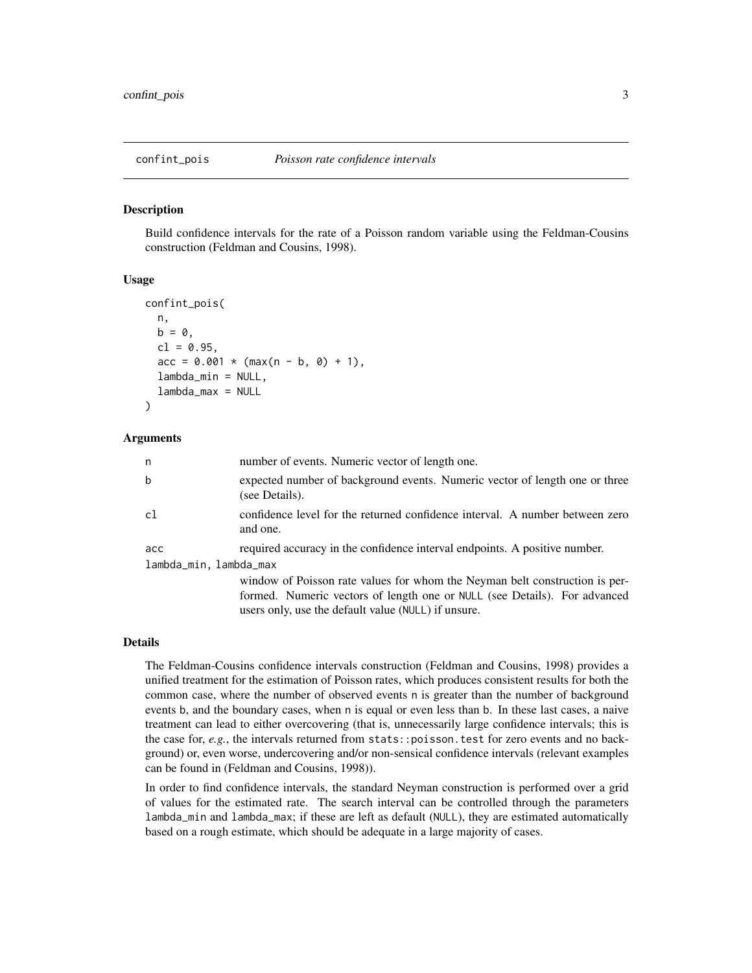<span id="page-2-1"></span><span id="page-2-0"></span>

#### Description

Build confidence intervals for the rate of a Poisson random variable using the Feldman-Cousins construction (Feldman and Cousins, 1998).

#### Usage

```
confint_pois(
 n,
b = 0,
 cl = 0.95,
 acc = 0.001 * (max(n - b, 0) + 1),lambda_min = NULL,
 lambda_max = NULL)
```
#### Arguments

| n                      | number of events. Numeric vector of length one.                                                                                                                                                                 |
|------------------------|-----------------------------------------------------------------------------------------------------------------------------------------------------------------------------------------------------------------|
| b                      | expected number of background events. Numeric vector of length one or three<br>(see Details).                                                                                                                   |
| cl                     | confidence level for the returned confidence interval. A number between zero<br>and one.                                                                                                                        |
| acc                    | required accuracy in the confidence interval endpoints. A positive number.                                                                                                                                      |
| lambda_min, lambda_max | window of Poisson rate values for whom the Neyman belt construction is per-<br>formed. Numeric vectors of length one or NULL (see Details). For advanced<br>users only, use the default value (NULL) if unsure. |

#### Details

The Feldman-Cousins confidence intervals construction (Feldman and Cousins, 1998) provides a unified treatment for the estimation of Poisson rates, which produces consistent results for both the common case, where the number of observed events n is greater than the number of background events b, and the boundary cases, when n is equal or even less than b. In these last cases, a naive treatment can lead to either overcovering (that is, unnecessarily large confidence intervals; this is the case for, *e.g.*, the intervals returned from stats: : poisson, test for zero events and no background) or, even worse, undercovering and/or non-sensical confidence intervals (relevant examples can be found in (Feldman and Cousins, 1998)).

In order to find confidence intervals, the standard Neyman construction is performed over a grid of values for the estimated rate. The search interval can be controlled through the parameters lambda\_min and lambda\_max; if these are left as default (NULL), they are estimated automatically based on a rough estimate, which should be adequate in a large majority of cases.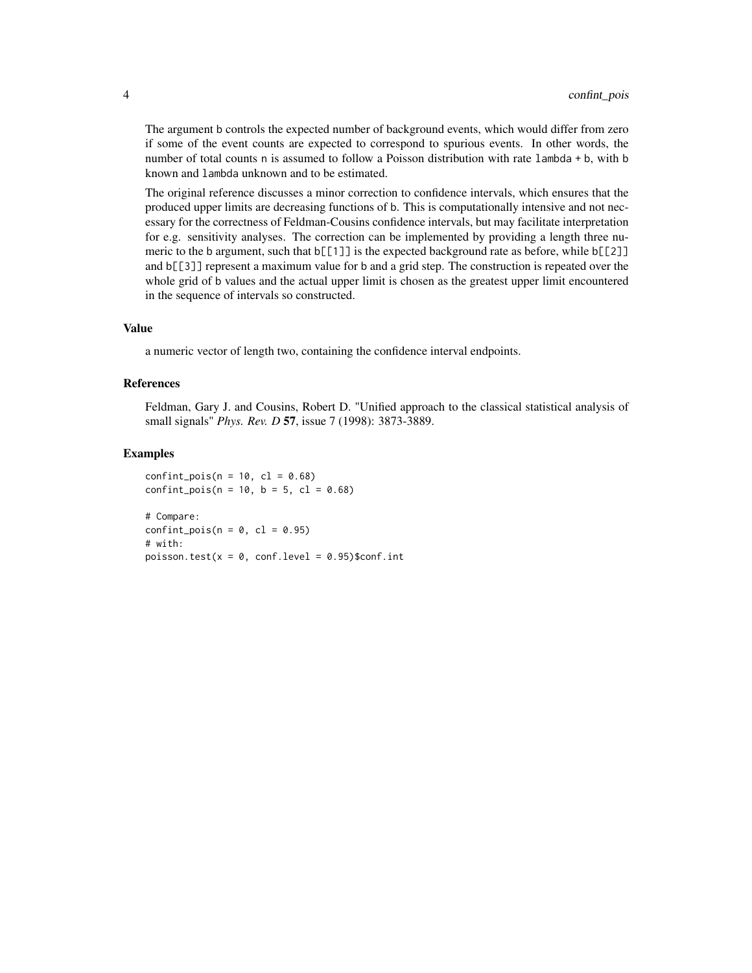The argument b controls the expected number of background events, which would differ from zero if some of the event counts are expected to correspond to spurious events. In other words, the number of total counts n is assumed to follow a Poisson distribution with rate lambda + b, with b known and lambda unknown and to be estimated.

The original reference discusses a minor correction to confidence intervals, which ensures that the produced upper limits are decreasing functions of b. This is computationally intensive and not necessary for the correctness of Feldman-Cousins confidence intervals, but may facilitate interpretation for e.g. sensitivity analyses. The correction can be implemented by providing a length three numeric to the b argument, such that  $b[[1]]$  is the expected background rate as before, while  $b[[2]]$ and b[[3]] represent a maximum value for b and a grid step. The construction is repeated over the whole grid of b values and the actual upper limit is chosen as the greatest upper limit encountered in the sequence of intervals so constructed.

#### Value

a numeric vector of length two, containing the confidence interval endpoints.

#### References

Feldman, Gary J. and Cousins, Robert D. "Unified approach to the classical statistical analysis of small signals" *Phys. Rev. D* 57, issue 7 (1998): 3873-3889.

#### Examples

confint\_pois( $n = 10$ ,  $c1 = 0.68$ )  $confint\_pois(n = 10, b = 5, c1 = 0.68)$ 

# Compare:  $confint\_pois(n = 0, cl = 0.95)$ # with: poisson.test( $x = 0$ , conf.level = 0.95)\$conf.int